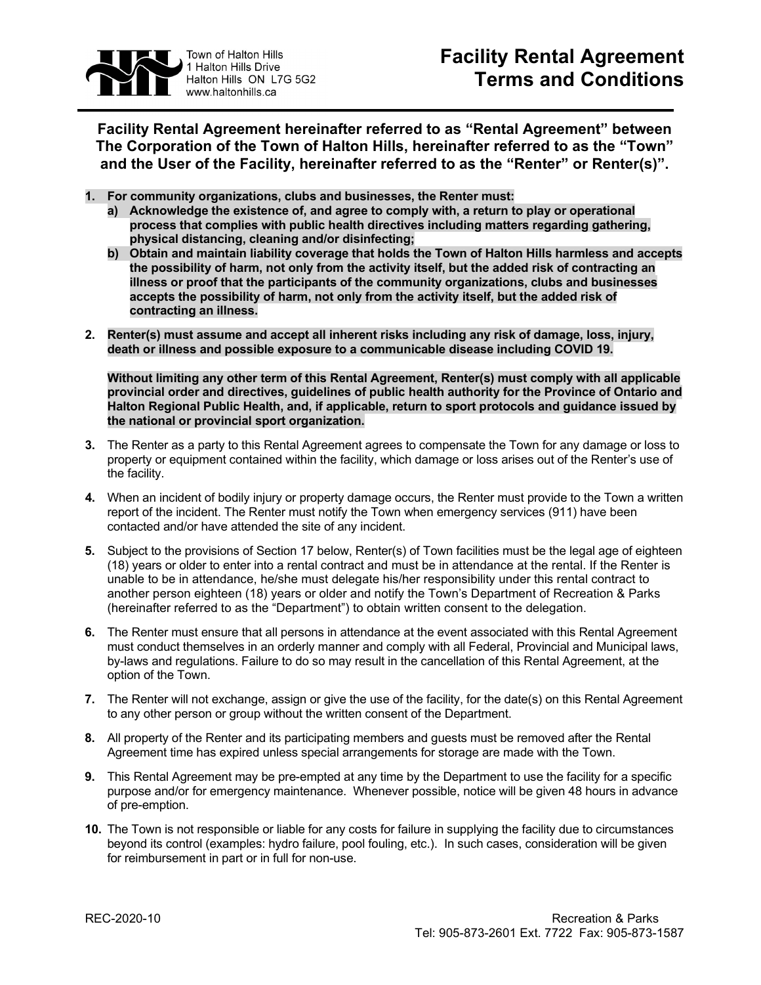

**Facility Rental Agreement hereinafter referred to as "Rental Agreement" between The Corporation of the Town of Halton Hills, hereinafter referred to as the "Town" and the User of the Facility, hereinafter referred to as the "Renter" or Renter(s)".**

- **1. For community organizations, clubs and businesses, the Renter must:** 
	- **a) Acknowledge the existence of, and agree to comply with, a return to play or operational process that complies with public health directives including matters regarding gathering, physical distancing, cleaning and/or disinfecting;**
	- **b) Obtain and maintain liability coverage that holds the Town of Halton Hills harmless and accepts the possibility of harm, not only from the activity itself, but the added risk of contracting an illness or proof that the participants of the community organizations, clubs and businesses accepts the possibility of harm, not only from the activity itself, but the added risk of contracting an illness.**
- **2. Renter(s) must assume and accept all inherent risks including any risk of damage, loss, injury, death or illness and possible exposure to a communicable disease including COVID 19.**

**Without limiting any other term of this Rental Agreement, Renter(s) must comply with all applicable provincial order and directives, guidelines of public health authority for the Province of Ontario and Halton Regional Public Health, and, if applicable, return to sport protocols and guidance issued by the national or provincial sport organization.**

- **3.** The Renter as a party to this Rental Agreement agrees to compensate the Town for any damage or loss to property or equipment contained within the facility, which damage or loss arises out of the Renter's use of the facility.
- **4.** When an incident of bodily injury or property damage occurs, the Renter must provide to the Town a written report of the incident. The Renter must notify the Town when emergency services (911) have been contacted and/or have attended the site of any incident.
- **5.** Subject to the provisions of Section 17 below, Renter(s) of Town facilities must be the legal age of eighteen (18) years or older to enter into a rental contract and must be in attendance at the rental. If the Renter is unable to be in attendance, he/she must delegate his/her responsibility under this rental contract to another person eighteen (18) years or older and notify the Town's Department of Recreation & Parks (hereinafter referred to as the "Department") to obtain written consent to the delegation.
- **6.** The Renter must ensure that all persons in attendance at the event associated with this Rental Agreement must conduct themselves in an orderly manner and comply with all Federal, Provincial and Municipal laws, by-laws and regulations. Failure to do so may result in the cancellation of this Rental Agreement, at the option of the Town.
- **7.** The Renter will not exchange, assign or give the use of the facility, for the date(s) on this Rental Agreement to any other person or group without the written consent of the Department.
- **8.** All property of the Renter and its participating members and guests must be removed after the Rental Agreement time has expired unless special arrangements for storage are made with the Town.
- **9.** This Rental Agreement may be pre-empted at any time by the Department to use the facility for a specific purpose and/or for emergency maintenance. Whenever possible, notice will be given 48 hours in advance of pre-emption.
- **10.** The Town is not responsible or liable for any costs for failure in supplying the facility due to circumstances beyond its control (examples: hydro failure, pool fouling, etc.). In such cases, consideration will be given for reimbursement in part or in full for non-use.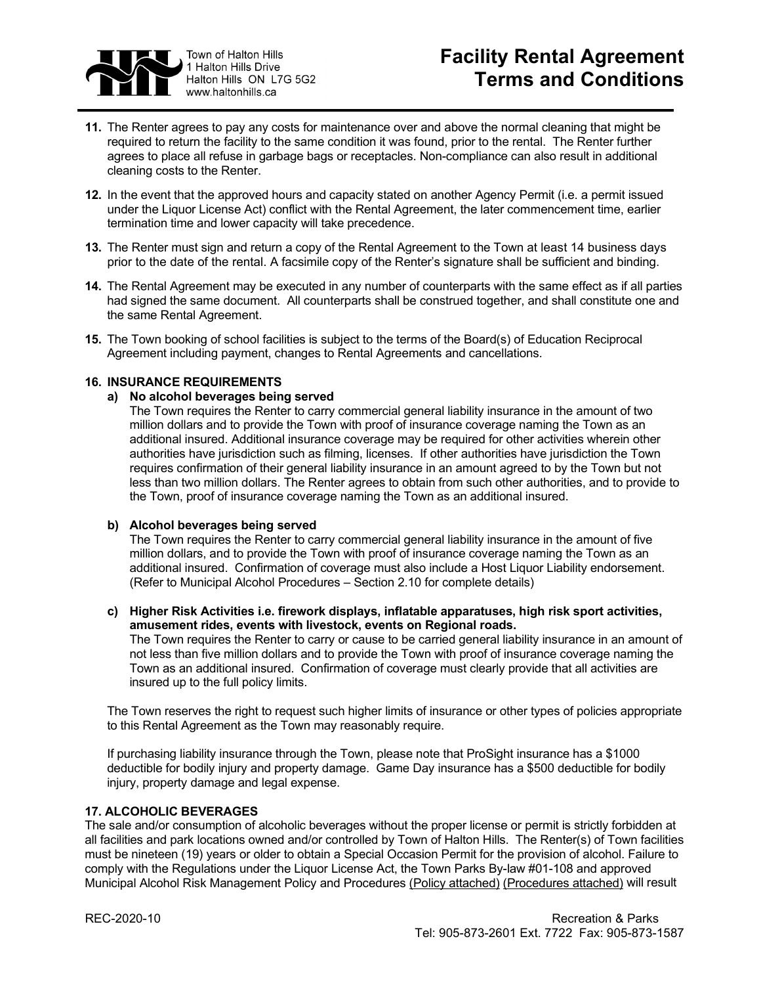

# **Facility Rental Agreement Terms and Conditions**

- **11.** The Renter agrees to pay any costs for maintenance over and above the normal cleaning that might be required to return the facility to the same condition it was found, prior to the rental. The Renter further agrees to place all refuse in garbage bags or receptacles. Non-compliance can also result in additional cleaning costs to the Renter.
- **12.** In the event that the approved hours and capacity stated on another Agency Permit (i.e. a permit issued under the Liquor License Act) conflict with the Rental Agreement, the later commencement time, earlier termination time and lower capacity will take precedence.
- **13.** The Renter must sign and return a copy of the Rental Agreement to the Town at least 14 business days prior to the date of the rental. A facsimile copy of the Renter's signature shall be sufficient and binding.
- **14.** The Rental Agreement may be executed in any number of counterparts with the same effect as if all parties had signed the same document. All counterparts shall be construed together, and shall constitute one and the same Rental Agreement.
- **15.** The Town booking of school facilities is subject to the terms of the Board(s) of Education Reciprocal Agreement including payment, changes to Rental Agreements and cancellations.

## **16. INSURANCE REQUIREMENTS**

## **a) No alcohol beverages being served**

The Town requires the Renter to carry commercial general liability insurance in the amount of two million dollars and to provide the Town with proof of insurance coverage naming the Town as an additional insured. Additional insurance coverage may be required for other activities wherein other authorities have jurisdiction such as filming, licenses. If other authorities have jurisdiction the Town requires confirmation of their general liability insurance in an amount agreed to by the Town but not less than two million dollars. The Renter agrees to obtain from such other authorities, and to provide to the Town, proof of insurance coverage naming the Town as an additional insured.

#### **b) Alcohol beverages being served**

The Town requires the Renter to carry commercial general liability insurance in the amount of five million dollars, and to provide the Town with proof of insurance coverage naming the Town as an additional insured. Confirmation of coverage must also include a Host Liquor Liability endorsement. (Refer to Municipal Alcohol Procedures – Section 2.10 for complete details)

## **c) Higher Risk Activities i.e. firework displays, inflatable apparatuses, high risk sport activities, amusement rides, events with livestock, events on Regional roads.**

The Town requires the Renter to carry or cause to be carried general liability insurance in an amount of not less than five million dollars and to provide the Town with proof of insurance coverage naming the Town as an additional insured. Confirmation of coverage must clearly provide that all activities are insured up to the full policy limits.

The Town reserves the right to request such higher limits of insurance or other types of policies appropriate to this Rental Agreement as the Town may reasonably require.

If purchasing liability insurance through the Town, please note that ProSight insurance has a \$1000 deductible for bodily injury and property damage. Game Day insurance has a \$500 deductible for bodily injury, property damage and legal expense.

#### **17. ALCOHOLIC BEVERAGES**

The sale and/or consumption of alcoholic beverages without the proper license or permit is strictly forbidden at all facilities and park locations owned and/or controlled by Town of Halton Hills. The Renter(s) of Town facilities must be nineteen (19) years or older to obtain a Special Occasion Permit for the provision of alcohol. Failure to comply with the Regulations under the Liquor License Act, the Town Parks By-law #01-108 and approved Municipal Alcohol Risk Management Policy and Procedures [\(Policy attached\)](http://www.haltonhills.ca/forms/pdf/ALCOHOL-MANAGEMENT-POLICY.pdf) [\(Procedures attached\)](http://www.haltonhills.ca/policies/pdf/AlcoholProcedures.pdf) will result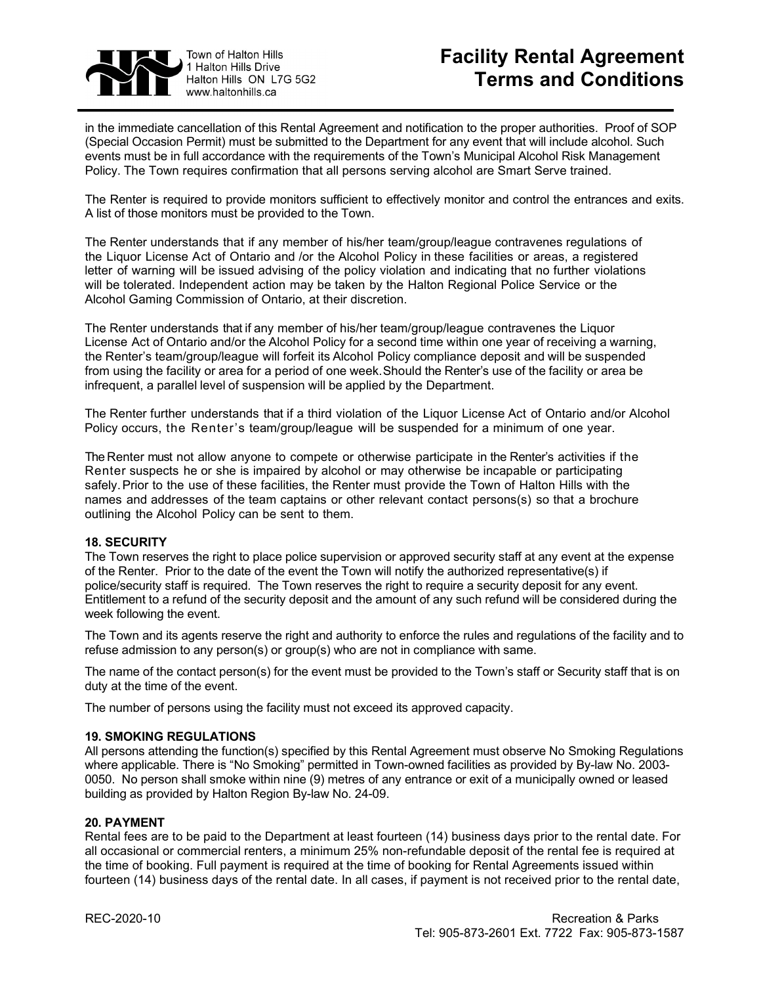

## **Facility Rental Agreement Terms and Conditions**

in the immediate cancellation of this Rental Agreement and notification to the proper authorities. Proof of SOP (Special Occasion Permit) must be submitted to the Department for any event that will include alcohol. Such events must be in full accordance with the requirements of the Town's Municipal Alcohol Risk Management Policy. The Town requires confirmation that all persons serving alcohol are Smart Serve trained.

The Renter is required to provide monitors sufficient to effectively monitor and control the entrances and exits. A list of those monitors must be provided to the Town.

The Renter understands that if any member of his/her team/group/league contravenes regulations of the Liquor License Act of Ontario and /or the Alcohol Policy in these facilities or areas, a registered letter of warning will be issued advising of the policy violation and indicating that no further violations will be tolerated. Independent action may be taken by the Halton Regional Police Service or the Alcohol Gaming Commission of Ontario, at their discretion.

The Renter understands that if any member of his/her team/group/league contravenes the Liquor License Act of Ontario and/or the Alcohol Policy for a second time within one year of receiving a warning, the Renter's team/group/league will forfeit its Alcohol Policy compliance deposit and will be suspended from using the facility or area for a period of one week. Should the Renter's use of the facility or area be infrequent, a parallel level of suspension will be applied by the Department.

The Renter further understands that if a third violation of the Liquor License Act of Ontario and/or Alcohol Policy occurs, the Renter's team/group/league will be suspended for a minimum of one year.

The Renter must not allow anyone to compete or otherwise participate in the Renter's activities if the Renter suspects he or she is impaired by alcohol or may otherwise be incapable or participating safely. Prior to the use of these facilities, the Renter must provide the Town of Halton Hills with the names and addresses of the team captains or other relevant contact persons(s) so that a brochure outlining the Alcohol Policy can be sent to them.

#### **18. SECURITY**

The Town reserves the right to place police supervision or approved security staff at any event at the expense of the Renter. Prior to the date of the event the Town will notify the authorized representative(s) if police/security staff is required. The Town reserves the right to require a security deposit for any event. Entitlement to a refund of the security deposit and the amount of any such refund will be considered during the week following the event.

The Town and its agents reserve the right and authority to enforce the rules and regulations of the facility and to refuse admission to any person(s) or group(s) who are not in compliance with same.

The name of the contact person(s) for the event must be provided to the Town's staff or Security staff that is on duty at the time of the event.

The number of persons using the facility must not exceed its approved capacity.

#### **19. SMOKING REGULATIONS**

All persons attending the function(s) specified by this Rental Agreement must observe No Smoking Regulations where applicable. There is "No Smoking" permitted in Town-owned facilities as provided by By-law No. 2003- 0050. No person shall smoke within nine (9) metres of any entrance or exit of a municipally owned or leased building as provided by Halton Region By-law No. 24-09.

## **20. PAYMENT**

Rental fees are to be paid to the Department at least fourteen (14) business days prior to the rental date. For all occasional or commercial renters, a minimum 25% non-refundable deposit of the rental fee is required at the time of booking. Full payment is required at the time of booking for Rental Agreements issued within fourteen (14) business days of the rental date. In all cases, if payment is not received prior to the rental date,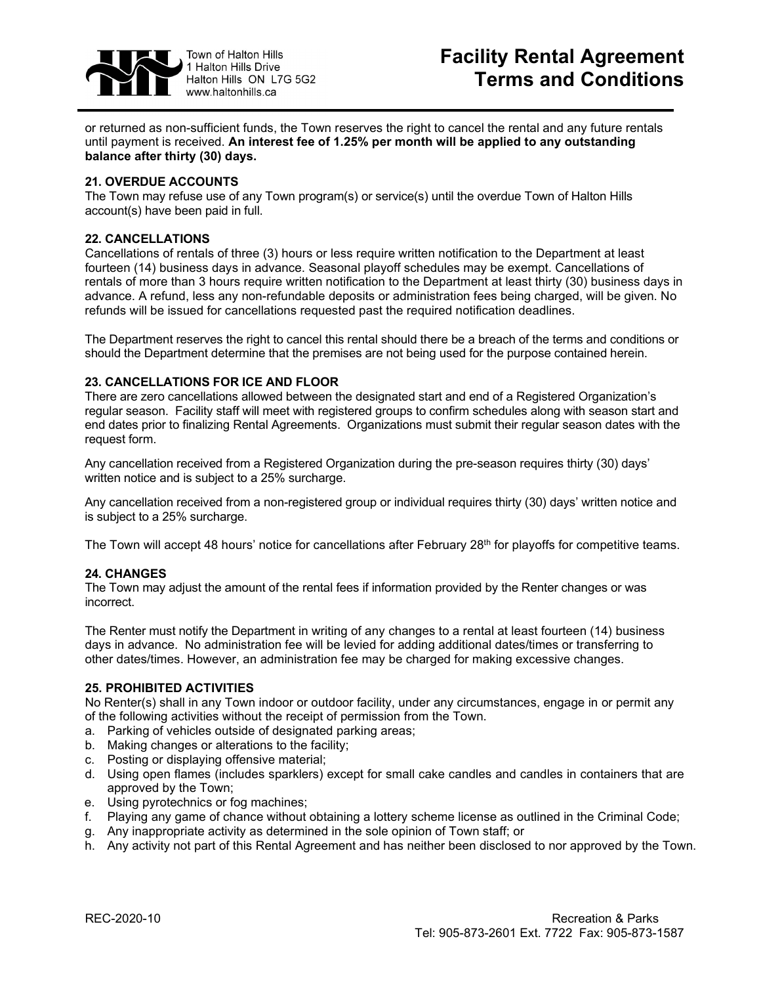

or returned as non-sufficient funds, the Town reserves the right to cancel the rental and any future rentals until payment is received. **An interest fee of 1.25% per month will be applied to any outstanding balance after thirty (30) days.**

## **21. OVERDUE ACCOUNTS**

The Town may refuse use of any Town program(s) or service(s) until the overdue Town of Halton Hills account(s) have been paid in full.

### **22. CANCELLATIONS**

Cancellations of rentals of three (3) hours or less require written notification to the Department at least fourteen (14) business days in advance. Seasonal playoff schedules may be exempt. Cancellations of rentals of more than 3 hours require written notification to the Department at least thirty (30) business days in advance. A refund, less any non-refundable deposits or administration fees being charged, will be given. No refunds will be issued for cancellations requested past the required notification deadlines.

The Department reserves the right to cancel this rental should there be a breach of the terms and conditions or should the Department determine that the premises are not being used for the purpose contained herein.

#### **23. CANCELLATIONS FOR ICE AND FLOOR**

There are zero cancellations allowed between the designated start and end of a Registered Organization's regular season. Facility staff will meet with registered groups to confirm schedules along with season start and end dates prior to finalizing Rental Agreements. Organizations must submit their regular season dates with the request form.

Any cancellation received from a Registered Organization during the pre-season requires thirty (30) days' written notice and is subject to a 25% surcharge.

Any cancellation received from a non-registered group or individual requires thirty (30) days' written notice and is subject to a 25% surcharge.

The Town will accept 48 hours' notice for cancellations after February 28<sup>th</sup> for playoffs for competitive teams.

#### **24. CHANGES**

The Town may adjust the amount of the rental fees if information provided by the Renter changes or was incorrect.

The Renter must notify the Department in writing of any changes to a rental at least fourteen (14) business days in advance. No administration fee will be levied for adding additional dates/times or transferring to other dates/times. However, an administration fee may be charged for making excessive changes.

#### **25. PROHIBITED ACTIVITIES**

No Renter(s) shall in any Town indoor or outdoor facility, under any circumstances, engage in or permit any of the following activities without the receipt of permission from the Town.

- a. Parking of vehicles outside of designated parking areas;
- b. Making changes or alterations to the facility;
- c. Posting or displaying offensive material;
- d. Using open flames (includes sparklers) except for small cake candles and candles in containers that are approved by the Town;
- e. Using pyrotechnics or fog machines;
- f. Playing any game of chance without obtaining a lottery scheme license as outlined in the Criminal Code;
- g. Any inappropriate activity as determined in the sole opinion of Town staff; or
- h. Any activity not part of this Rental Agreement and has neither been disclosed to nor approved by the Town.